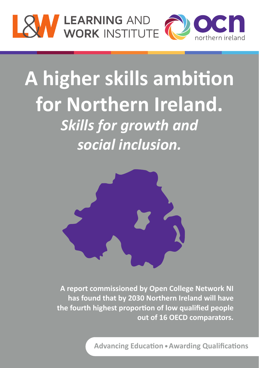

# A higher skills ambition **for Northern Ireland.** *Skills for growth and social inclusion.*



**A report commissioned by Open College Network NI has found that by 2030 Northern Ireland will have the fourth highest propor�on of low qualified people out of 16 OECD comparators.** 

**Advancing Education • Awarding Qualifications**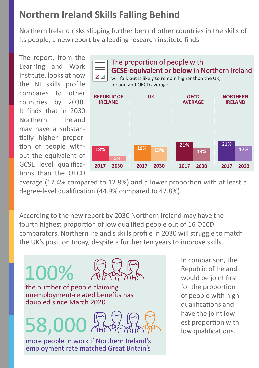## **Northern Ireland Skills Falling Behind**

Northern Ireland risks slipping further behind other countries in the skills of its people, a new report by a leading research institute finds.

The report, from the Learning and Work Institute, looks at how the NI skills profile compares to other countries by 2030. It finds that in 2030 Northern Ireland may have a substantially higher proportion of people without the equivalent of GCSE level qualifications than the OECD

100%



average (17.4% compared to 12.8%) and a lower proportion with at least a degree-level qualification (44.9% compared to 47.8%).

According to the new report by 2030 Northern Ireland may have the fourth highest proportion of low qualified people out of 16 OECD comparators. Northern Ireland's skills profile in 2030 will struggle to match the UK's position today, despite a further ten years to improve skills.

the number of people claiming<br>unemployment-related benefits has doubled since March 2020

58,000

more people in work if Northern Ireland's employment rate matched Great Britain's In comparison, the Republic of Ireland would be joint first for the proportion of people with high qualifications and have the joint lowest proportion with low qualifications.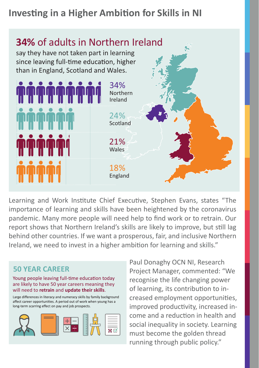## **Investing in a Higher Ambition for Skills in NI**



Learning and Work Institute Chief Executive, Stephen Evans, states "The importance of learning and skills have been heightened by the coronavirus pandemic. Many more people will need help to find work or to retrain. Our report shows that Northern Ireland's skills are likely to improve, but still lag behind other countries. If we want a prosperous, fair, and inclusive Northern Ireland, we need to invest in a higher ambition for learning and skills."

### **50 YEAR CAREER**

#### Young people leaving full-time education today are likely to have 50 year careers meaning they will need to **retrain** and **update their skills**.

Large differences in literacy and numeracy skills by family background affect career opportunities. A period out of work when young has a long-term scarring effect on pay and job prospects.



Paul Donaghy OCN NI, Research Project Manager, commented: "We recognise the life changing power of learning, its contribution to increased employment opportunities, improved productivity, increased income and a reduction in health and social inequality in society. Learning must become the golden thread running through public policy."